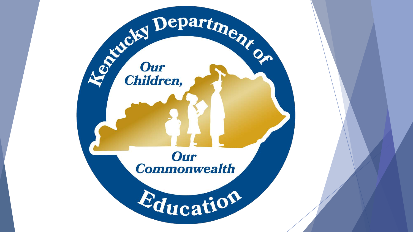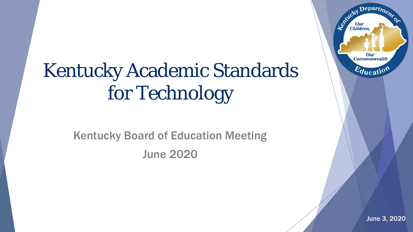# Kentucky Academic Standards for Technology

Kentucky Board of Education Meeting June 2020

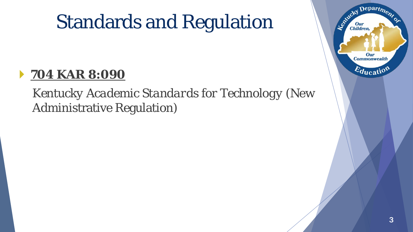## Standards and Regulation

### **704 KAR 8:090**

### *Kentucky Academic Standards for Technology* (New Administrative Regulation)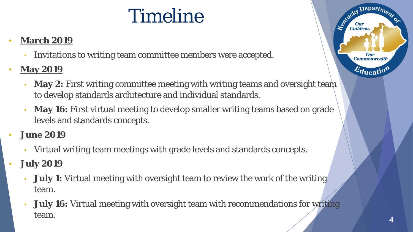## Timeline

#### • **March 2019**

- Invitations to writing team committee members were accepted.
- **May 2019**
	- **May 2:** First writing committee meeting with writing teams and oversight team to develop standards architecture and individual standards.
	- **May 16:** First virtual meeting to develop smaller writing teams based on grade levels and standards concepts.
- **June 2019**
	- Virtual writing team meetings with grade levels and standards concepts.
- **July 2019**
	- **July 1:** Virtual meeting with oversight team to review the work of the writing team.
	- **July 16:** Virtual meeting with oversight team with recommendations for writing team.

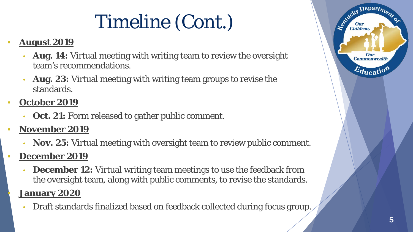# Timeline (Cont.)

#### • **August 2019**

- **Aug. 14:** Virtual meeting with writing team to review the oversight team's recommendations.
- **Aug. 23:** Virtual meeting with writing team groups to revise the standards.
- **October 2019**
	- **Oct. 21:** Form released to gather public comment.
- **November 2019**
	- **Nov. 25:** Virtual meeting with oversight team to review public comment.
- **December 2019**
	- **December 12:** Virtual writing team meetings to use the feedback from the oversight team, along with public comments, to revise the standards.

#### • **January 2020**

• Draft standards finalized based on feedback collected during focus group.

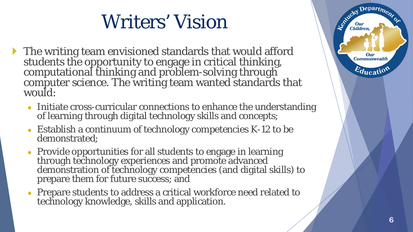# Writers' Vision

- The writing team envisioned standards that would afford students the opportunity to engage in critical thinking, computational thinking and problem-solving through computer science. The writing team wanted standards that would:
	- Initiate cross-curricular connections to enhance the understanding of learning through digital technology skills and concepts;
	- $\bullet$  Establish a continuum of technology competencies K-12 to be demonstrated;
	- Provide opportunities for all students to engage in learning through technology experiences and promote advanced demonstration of technology competencies (and digital skills) to prepare them for future success; and
	- Prepare students to address a critical workforce need related to technology knowledge, skills and application.



Le Child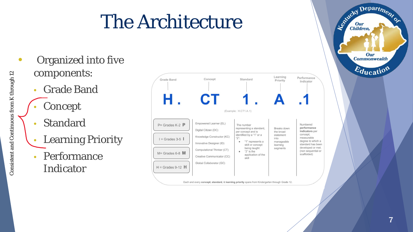## The Architecture

- Organized into five components:
	- Grade Band
	- **Concept**
	- **Standard**
	- Learning Priority
	- Performance Indicator



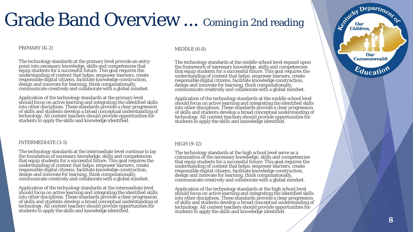### Grade Band Overview ... Coming in 2nd reading

#### PRIMARY (K-2)

The technology standards at the primary level provide an entry- point into necessary knowledge, skills and competencies that equip students for a successful future. This goal requires the understanding of content that helps: empower learners, create responsible digital citizens, facilitate knowledge construction, design and innovate for learning, think computationally, communicate creatively and collaborate with a global mindset.

Application of the technology standards at the primary level should focus on active learning and integrating the identified skills into other disciplines. These standards provide a clear progression of skills and students develop a broad conceptual understanding of technology. All content teachers should provide opportunities for students to apply the skills and knowledge identified.

#### INTERMEDIATE (3-5)

The technology standards at the intermediate level continue to lay the foundation of necessary knowledge, skills and competencies that equip students for a successful future. This goal requires the understanding of content that helps: empower learners, create responsible digital citizens, facilitate knowledge construction, design and innovate for learning, think computationally, communicate creatively and collaborate with a global mindset.

Application of the technology standards at the intermediate level should focus on active learning and integrating the identified skills into other disciplines. These standards provide a clear progression of skills and students develop a broad conceptual understanding of technology. All content teachers should provide opportunities for students to apply the skills and knowledge identified.

#### MIDDLE (6-8)

The technology standards at the middle school level expand upon the framework of necessary knowledge, skills and competencies that equip students for a successful future. This goal requires the understanding of content that helps: empower learners, create responsible digital citizens, facilitate knowledge construction, design and innovate for learning, think computationally, communicate creatively and collaborate with a global mindset.

Application of the technology standards at the middle school level should focus on active learning and integrating the identified skills into other disciplines. These standards provide a clear progression of skills and students develop a broad conceptual understanding of technology. All content teachers should provide opportunities for students to apply the skills and knowledge identified.

#### HIGH (9-12)

The technology standards at the high school level serve as a culmination of the necessary knowledge, skills and competencies that equip students for a successful future. This goal requires the understanding of content that helps: empower learners, create responsible digital citizens, facilitate knowledge construction, design and innovate for learning, think computationally, communicate creatively and collaborate with a global mindset.

Application of the technology standards at the high school level should focus on active learning and integrating the identified skills into other disciplines. These standards provide a clear progression of skills and students develop a broad conceptual understanding of technology. All content teachers should provide opportunities for students to apply the skills and knowledge identified.



Department

Our

Established I

Our Children,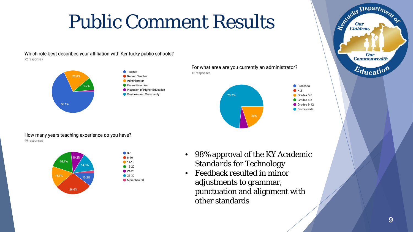### Public Comment Results

Which role best describes your affiliation with Kentucky public schools? 72 responses



**Retired Teacher** Administrator Parent/Guardian Institution of Higher Education





How many years teaching experience do you have? 49 responses



 $\bullet$  0-5  $6 - 10$  $\bullet$  11-15 ● 16-20  $21-25$ 26-30 More than 30

- 98% approval of the *KY Academic Standards for Technology*
- Feedback resulted in minor adjustments to grammar, punctuation and alignment with other standards